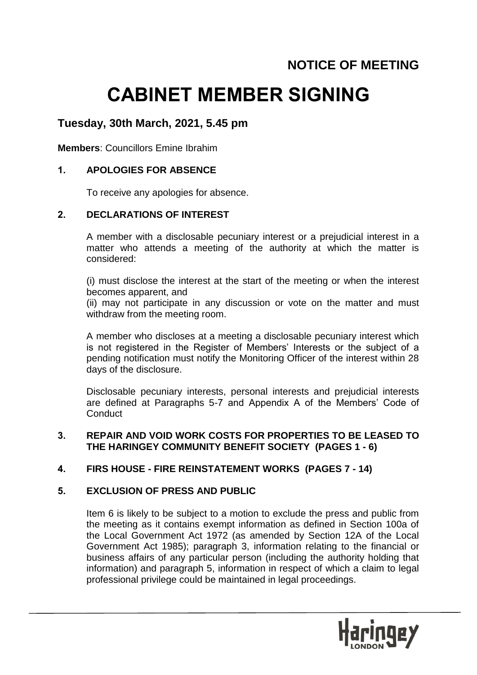# **NOTICE OF MEETING**

# **CABINET MEMBER SIGNING**

## **Tuesday, 30th March, 2021, 5.45 pm**

**Members**: Councillors Emine Ibrahim

#### **1. APOLOGIES FOR ABSENCE**

To receive any apologies for absence.

#### **2. DECLARATIONS OF INTEREST**

A member with a disclosable pecuniary interest or a prejudicial interest in a matter who attends a meeting of the authority at which the matter is considered:

(i) must disclose the interest at the start of the meeting or when the interest becomes apparent, and

(ii) may not participate in any discussion or vote on the matter and must withdraw from the meeting room.

A member who discloses at a meeting a disclosable pecuniary interest which is not registered in the Register of Members' Interests or the subject of a pending notification must notify the Monitoring Officer of the interest within 28 days of the disclosure.

Disclosable pecuniary interests, personal interests and prejudicial interests are defined at Paragraphs 5-7 and Appendix A of the Members' Code of **Conduct** 

#### **3. REPAIR AND VOID WORK COSTS FOR PROPERTIES TO BE LEASED TO THE HARINGEY COMMUNITY BENEFIT SOCIETY (PAGES 1 - 6)**

#### **4. FIRS HOUSE - FIRE REINSTATEMENT WORKS (PAGES 7 - 14)**

#### **5. EXCLUSION OF PRESS AND PUBLIC**

Item 6 is likely to be subject to a motion to exclude the press and public from the meeting as it contains exempt information as defined in Section 100a of the Local Government Act 1972 (as amended by Section 12A of the Local Government Act 1985); paragraph 3, information relating to the financial or business affairs of any particular person (including the authority holding that information) and paragraph 5, information in respect of which a claim to legal professional privilege could be maintained in legal proceedings.